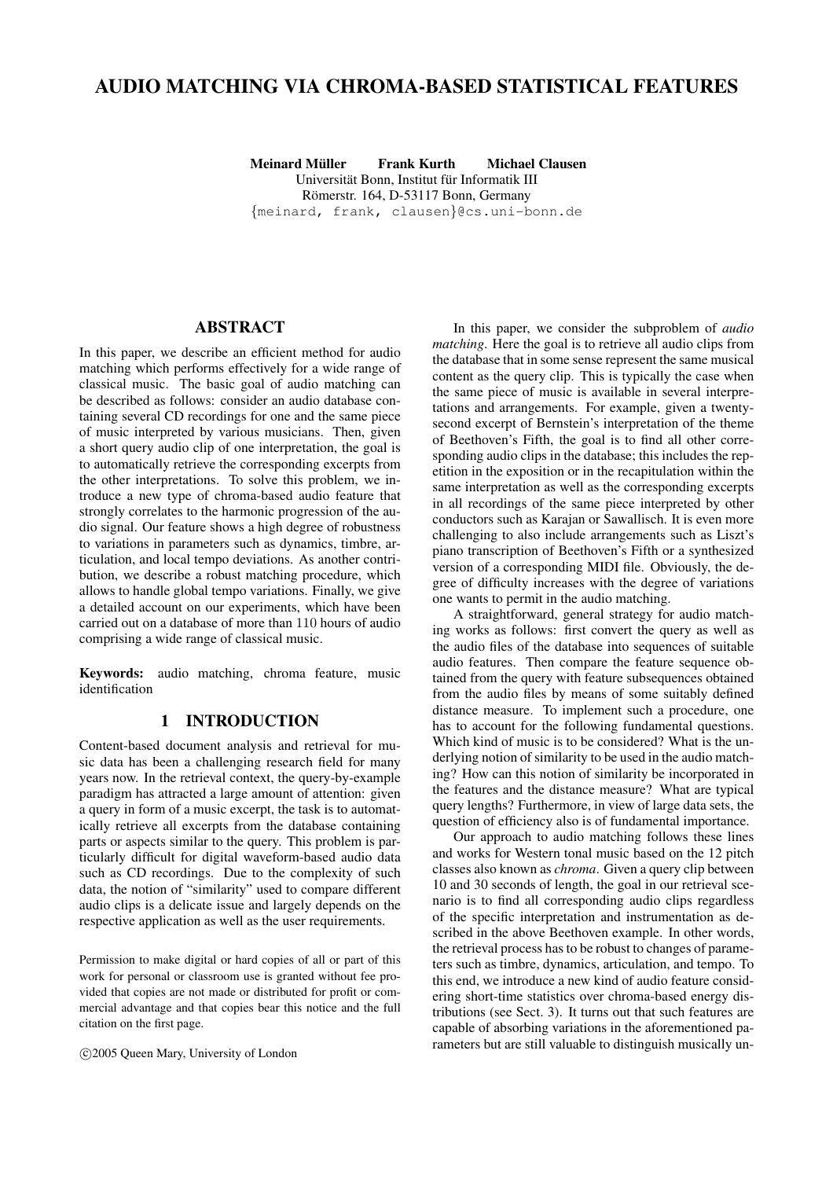# AUDIO MATCHING VIA CHROMA-BASED STATISTICAL FEATURES

Meinard Müller in Frank Kurth in Michael Clausen Universität Bonn, Institut für Informatik III Römerstr. 164, D-53117 Bonn, Germany {meinard, frank, clausen}@cs.uni-bonn.de

# ABSTRACT

In this paper, we describe an efficient method for audio matching which performs effectively for a wide range of classical music. The basic goal of audio matching can be described as follows: consider an audio database containing several CD recordings for one and the same piece of music interpreted by various musicians. Then, given a short query audio clip of one interpretation, the goal is to automatically retrieve the corresponding excerpts from the other interpretations. To solve this problem, we introduce a new type of chroma-based audio feature that strongly correlates to the harmonic progression of the audio signal. Our feature shows a high degree of robustness to variations in parameters such as dynamics, timbre, articulation, and local tempo deviations. As another contribution, we describe a robust matching procedure, which allows to handle global tempo variations. Finally, we give a detailed account on our experiments, which have been carried out on a database of more than 110 hours of audio comprising a wide range of classical music.

Keywords: audio matching, chroma feature, music identification

# 1 INTRODUCTION

Content-based document analysis and retrieval for music data has been a challenging research field for many years now. In the retrieval context, the query-by-example paradigm has attracted a large amount of attention: given a query in form of a music excerpt, the task is to automatically retrieve all excerpts from the database containing parts or aspects similar to the query. This problem is particularly difficult for digital waveform-based audio data such as CD recordings. Due to the complexity of such data, the notion of "similarity" used to compare different audio clips is a delicate issue and largely depends on the respective application as well as the user requirements.

Permission to make digital or hard copies of all or part of this work for personal or classroom use is granted without fee provided that copies are not made or distributed for profit or commercial advantage and that copies bear this notice and the full citation on the first page.

c 2005 Queen Mary, University of London

In this paper, we consider the subproblem of *audio matching*. Here the goal is to retrieve all audio clips from the database that in some sense represent the same musical content as the query clip. This is typically the case when the same piece of music is available in several interpretations and arrangements. For example, given a twentysecond excerpt of Bernstein's interpretation of the theme of Beethoven's Fifth, the goal is to find all other corresponding audio clips in the database; this includes the repetition in the exposition or in the recapitulation within the same interpretation as well as the corresponding excerpts in all recordings of the same piece interpreted by other conductors such as Karajan or Sawallisch. It is even more challenging to also include arrangements such as Liszt's piano transcription of Beethoven's Fifth or a synthesized version of a corresponding MIDI file. Obviously, the degree of difficulty increases with the degree of variations one wants to permit in the audio matching.

A straightforward, general strategy for audio matching works as follows: first convert the query as well as the audio files of the database into sequences of suitable audio features. Then compare the feature sequence obtained from the query with feature subsequences obtained from the audio files by means of some suitably defined distance measure. To implement such a procedure, one has to account for the following fundamental questions. Which kind of music is to be considered? What is the underlying notion of similarity to be used in the audio matching? How can this notion of similarity be incorporated in the features and the distance measure? What are typical query lengths? Furthermore, in view of large data sets, the question of efficiency also is of fundamental importance.

Our approach to audio matching follows these lines and works for Western tonal music based on the 12 pitch classes also known as *chroma*. Given a query clip between 10 and 30 seconds of length, the goal in our retrieval scenario is to find all corresponding audio clips regardless of the specific interpretation and instrumentation as described in the above Beethoven example. In other words, the retrieval process has to be robust to changes of parameters such as timbre, dynamics, articulation, and tempo. To this end, we introduce a new kind of audio feature considering short-time statistics over chroma-based energy distributions (see Sect. 3). It turns out that such features are capable of absorbing variations in the aforementioned parameters but are still valuable to distinguish musically un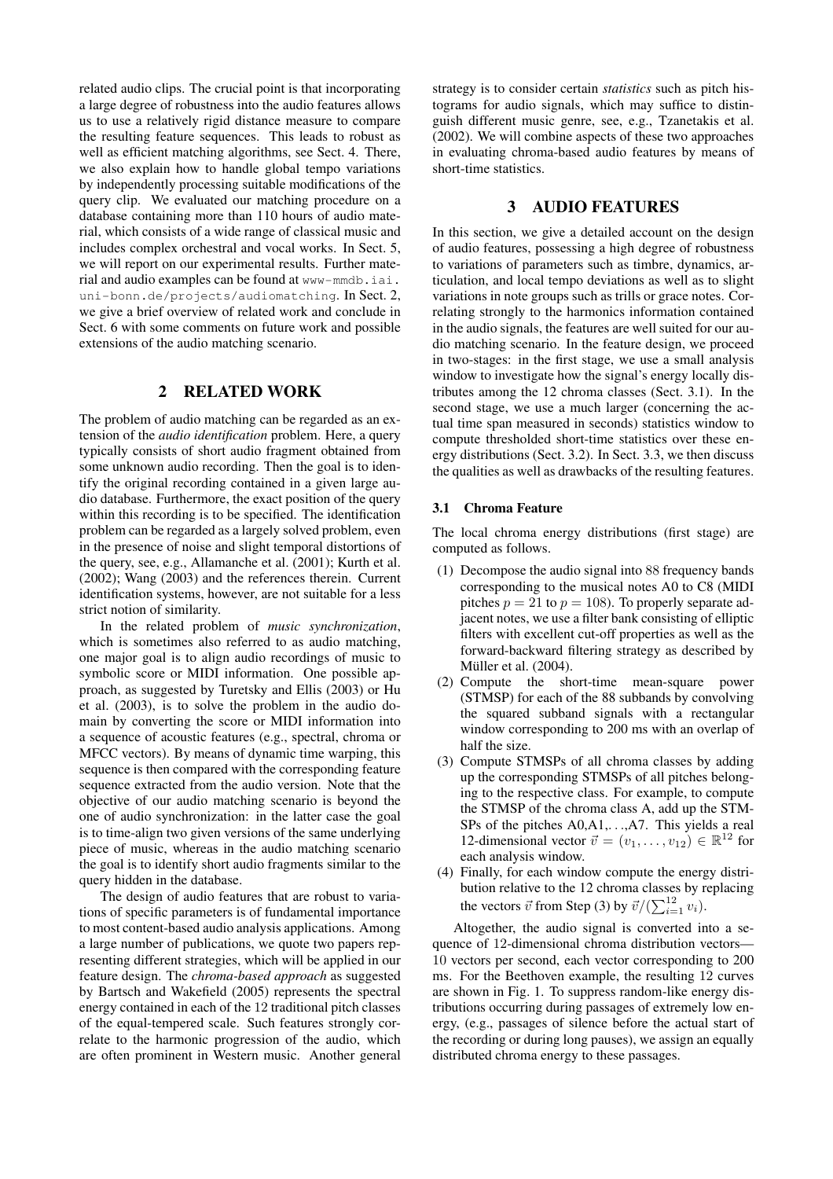related audio clips. The crucial point is that incorporating a large degree of robustness into the audio features allows us to use a relatively rigid distance measure to compare the resulting feature sequences. This leads to robust as well as efficient matching algorithms, see Sect. 4. There, we also explain how to handle global tempo variations by independently processing suitable modifications of the query clip. We evaluated our matching procedure on a database containing more than 110 hours of audio material, which consists of a wide range of classical music and includes complex orchestral and vocal works. In Sect. 5, we will report on our experimental results. Further material and audio examples can be found at www-mmdb.iai. uni-bonn.de/projects/audiomatching. In Sect. 2, we give a brief overview of related work and conclude in Sect. 6 with some comments on future work and possible extensions of the audio matching scenario.

# 2 RELATED WORK

The problem of audio matching can be regarded as an extension of the *audio identification* problem. Here, a query typically consists of short audio fragment obtained from some unknown audio recording. Then the goal is to identify the original recording contained in a given large audio database. Furthermore, the exact position of the query within this recording is to be specified. The identification problem can be regarded as a largely solved problem, even in the presence of noise and slight temporal distortions of the query, see, e.g., Allamanche et al. (2001); Kurth et al. (2002); Wang (2003) and the references therein. Current identification systems, however, are not suitable for a less strict notion of similarity.

In the related problem of *music synchronization*, which is sometimes also referred to as audio matching, one major goal is to align audio recordings of music to symbolic score or MIDI information. One possible approach, as suggested by Turetsky and Ellis (2003) or Hu et al. (2003), is to solve the problem in the audio domain by converting the score or MIDI information into a sequence of acoustic features (e.g., spectral, chroma or MFCC vectors). By means of dynamic time warping, this sequence is then compared with the corresponding feature sequence extracted from the audio version. Note that the objective of our audio matching scenario is beyond the one of audio synchronization: in the latter case the goal is to time-align two given versions of the same underlying piece of music, whereas in the audio matching scenario the goal is to identify short audio fragments similar to the query hidden in the database.

The design of audio features that are robust to variations of specific parameters is of fundamental importance to most content-based audio analysis applications. Among a large number of publications, we quote two papers representing different strategies, which will be applied in our feature design. The *chroma-based approach* as suggested by Bartsch and Wakefield (2005) represents the spectral energy contained in each of the 12 traditional pitch classes of the equal-tempered scale. Such features strongly correlate to the harmonic progression of the audio, which are often prominent in Western music. Another general strategy is to consider certain *statistics* such as pitch histograms for audio signals, which may suffice to distinguish different music genre, see, e.g., Tzanetakis et al. (2002). We will combine aspects of these two approaches in evaluating chroma-based audio features by means of short-time statistics.

### 3 AUDIO FEATURES

In this section, we give a detailed account on the design of audio features, possessing a high degree of robustness to variations of parameters such as timbre, dynamics, articulation, and local tempo deviations as well as to slight variations in note groups such as trills or grace notes. Correlating strongly to the harmonics information contained in the audio signals, the features are well suited for our audio matching scenario. In the feature design, we proceed in two-stages: in the first stage, we use a small analysis window to investigate how the signal's energy locally distributes among the 12 chroma classes (Sect. 3.1). In the second stage, we use a much larger (concerning the actual time span measured in seconds) statistics window to compute thresholded short-time statistics over these energy distributions (Sect. 3.2). In Sect. 3.3, we then discuss the qualities as well as drawbacks of the resulting features.

#### 3.1 Chroma Feature

The local chroma energy distributions (first stage) are computed as follows.

- (1) Decompose the audio signal into 88 frequency bands corresponding to the musical notes A0 to C8 (MIDI pitches  $p = 21$  to  $p = 108$ ). To properly separate adjacent notes, we use a filter bank consisting of elliptic filters with excellent cut-off properties as well as the forward-backward filtering strategy as described by Müller et al. (2004).
- (2) Compute the short-time mean-square power (STMSP) for each of the 88 subbands by convolving the squared subband signals with a rectangular window corresponding to 200 ms with an overlap of half the size.
- (3) Compute STMSPs of all chroma classes by adding up the corresponding STMSPs of all pitches belonging to the respective class. For example, to compute the STMSP of the chroma class A, add up the STM-SPs of the pitches A0,A1,. . .,A7. This yields a real 12-dimensional vector  $\vec{v} = (v_1, \dots, v_{12}) \in \mathbb{R}^{12}$  for each analysis window.
- (4) Finally, for each window compute the energy distribution relative to the 12 chroma classes by replacing the vectors  $\vec{v}$  from Step (3) by  $\vec{v}/(\sum_{i=1}^{12} v_i)$ .

Altogether, the audio signal is converted into a sequence of 12-dimensional chroma distribution vectors— 10 vectors per second, each vector corresponding to 200 ms. For the Beethoven example, the resulting 12 curves are shown in Fig. 1. To suppress random-like energy distributions occurring during passages of extremely low energy, (e.g., passages of silence before the actual start of the recording or during long pauses), we assign an equally distributed chroma energy to these passages.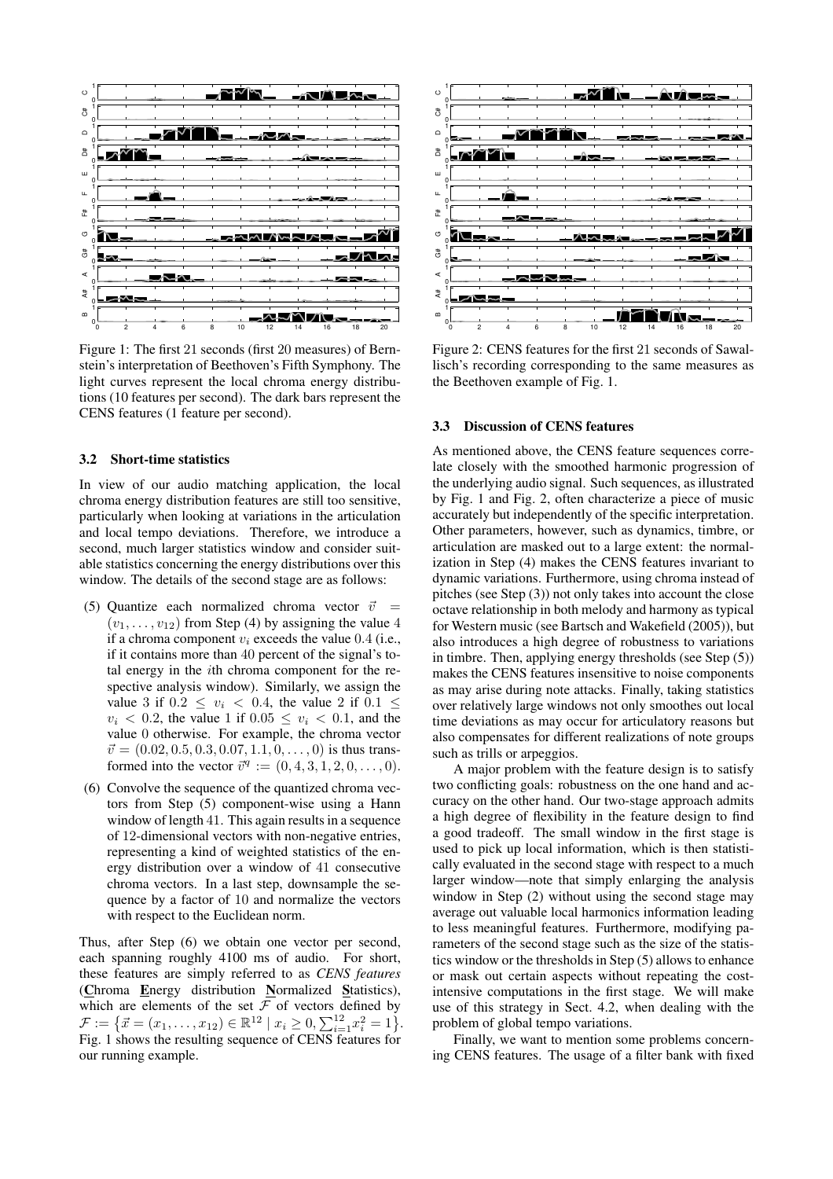

Figure 1: The first 21 seconds (first 20 measures) of Bernstein's interpretation of Beethoven's Fifth Symphony. The light curves represent the local chroma energy distributions (10 features per second). The dark bars represent the CENS features (1 feature per second).

#### 3.2 Short-time statistics

In view of our audio matching application, the local chroma energy distribution features are still too sensitive, particularly when looking at variations in the articulation and local tempo deviations. Therefore, we introduce a second, much larger statistics window and consider suitable statistics concerning the energy distributions over this window. The details of the second stage are as follows:

- (5) Quantize each normalized chroma vector  $\vec{v}$  =  $(v_1, \ldots, v_{12})$  from Step (4) by assigning the value 4 if a chroma component  $v_i$  exceeds the value 0.4 (i.e., if it contains more than 40 percent of the signal's total energy in the ith chroma component for the respective analysis window). Similarly, we assign the value 3 if  $0.2 < v_i < 0.4$ , the value 2 if  $0.1 <$  $v_i$  < 0.2, the value 1 if 0.05 <  $v_i$  < 0.1, and the value 0 otherwise. For example, the chroma vector  $\vec{v} = (0.02, 0.5, 0.3, 0.07, 1.1, 0, \dots, 0)$  is thus transformed into the vector  $\vec{v}^q := (0, 4, 3, 1, 2, 0, \dots, 0).$
- (6) Convolve the sequence of the quantized chroma vectors from Step (5) component-wise using a Hann window of length 41. This again results in a sequence of 12-dimensional vectors with non-negative entries, representing a kind of weighted statistics of the energy distribution over a window of 41 consecutive chroma vectors. In a last step, downsample the sequence by a factor of 10 and normalize the vectors with respect to the Euclidean norm.

Thus, after Step (6) we obtain one vector per second, each spanning roughly 4100 ms of audio. For short, these features are simply referred to as *CENS features* (Chroma Energy distribution Normalized Statistics), which are elements of the set  $\overline{f}$  of vectors defined by  $\mathcal{F} := \{ \vec{x} = (x_1, \ldots, x_{12}) \in \mathbb{R}^{12} \mid x_i \geq 0, \sum_{i=1}^{12} x_i^2 = 1 \}.$ Fig. 1 shows the resulting sequence of CENS features for our running example.



Figure 2: CENS features for the first 21 seconds of Sawallisch's recording corresponding to the same measures as the Beethoven example of Fig. 1.

#### 3.3 Discussion of CENS features

As mentioned above, the CENS feature sequences correlate closely with the smoothed harmonic progression of the underlying audio signal. Such sequences, as illustrated by Fig. 1 and Fig. 2, often characterize a piece of music accurately but independently of the specific interpretation. Other parameters, however, such as dynamics, timbre, or articulation are masked out to a large extent: the normalization in Step (4) makes the CENS features invariant to dynamic variations. Furthermore, using chroma instead of pitches (see Step (3)) not only takes into account the close octave relationship in both melody and harmony as typical for Western music (see Bartsch and Wakefield (2005)), but also introduces a high degree of robustness to variations in timbre. Then, applying energy thresholds (see Step (5)) makes the CENS features insensitive to noise components as may arise during note attacks. Finally, taking statistics over relatively large windows not only smoothes out local time deviations as may occur for articulatory reasons but also compensates for different realizations of note groups such as trills or arpeggios.

A major problem with the feature design is to satisfy two conflicting goals: robustness on the one hand and accuracy on the other hand. Our two-stage approach admits a high degree of flexibility in the feature design to find a good tradeoff. The small window in the first stage is used to pick up local information, which is then statistically evaluated in the second stage with respect to a much larger window—note that simply enlarging the analysis window in Step (2) without using the second stage may average out valuable local harmonics information leading to less meaningful features. Furthermore, modifying parameters of the second stage such as the size of the statistics window or the thresholds in Step (5) allows to enhance or mask out certain aspects without repeating the costintensive computations in the first stage. We will make use of this strategy in Sect. 4.2, when dealing with the problem of global tempo variations.

Finally, we want to mention some problems concerning CENS features. The usage of a filter bank with fixed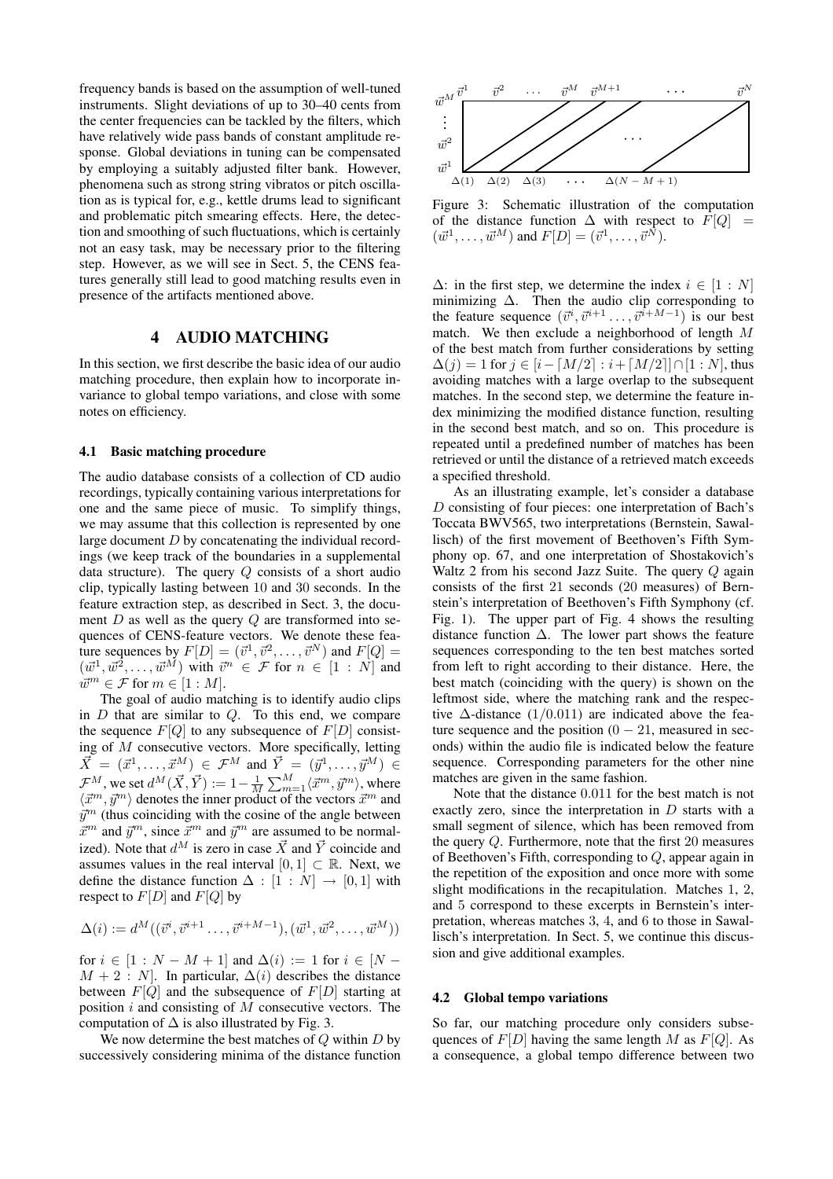frequency bands is based on the assumption of well-tuned instruments. Slight deviations of up to 30–40 cents from the center frequencies can be tackled by the filters, which have relatively wide pass bands of constant amplitude response. Global deviations in tuning can be compensated by employing a suitably adjusted filter bank. However, phenomena such as strong string vibratos or pitch oscillation as is typical for, e.g., kettle drums lead to significant and problematic pitch smearing effects. Here, the detection and smoothing of such fluctuations, which is certainly not an easy task, may be necessary prior to the filtering step. However, as we will see in Sect. 5, the CENS features generally still lead to good matching results even in presence of the artifacts mentioned above.

### 4 AUDIO MATCHING

In this section, we first describe the basic idea of our audio matching procedure, then explain how to incorporate invariance to global tempo variations, and close with some notes on efficiency.

#### 4.1 Basic matching procedure

The audio database consists of a collection of CD audio recordings, typically containing various interpretations for one and the same piece of music. To simplify things, we may assume that this collection is represented by one large document D by concatenating the individual recordings (we keep track of the boundaries in a supplemental data structure). The query  $Q$  consists of a short audio clip, typically lasting between 10 and 30 seconds. In the feature extraction step, as described in Sect. 3, the document  $D$  as well as the query  $Q$  are transformed into sequences of CENS-feature vectors. We denote these feature sequences by  $F[D] = (\vec{v}^1, \vec{v}^2, \dots, \vec{v}^N)$  and  $F[Q] =$  $(\vec{w}^1, \vec{w}^2, \dots, \vec{w}^M)$  with  $\vec{v}^n \in \mathcal{F}$  for  $n \in [1 : N]$  and  $\vec{w}^m \in \mathcal{F}$  for  $m \in [1:M]$ .

The goal of audio matching is to identify audio clips in  $D$  that are similar to  $Q$ . To this end, we compare the sequence  $F[Q]$  to any subsequence of  $F[D]$  consisting of  $M$  consecutive vectors. More specifically, letting  $\vec{X} = (\vec{x}^1, \dots, \vec{x}^M) \in \mathcal{F}^M$  and  $\vec{Y} = (\vec{y}^1, \dots, \vec{y}^M) \in$  $\mathcal{F}^M$ , we set  $d^M(\vec{X}, \vec{Y}) := 1 - \frac{1}{M}\sum_{m=1}^M \langle \vec{x}^m, \vec{y}^m \rangle$ , where  $\langle \vec{x}^m, \vec{y}^m \rangle$  denotes the inner product of the vectors  $\vec{x}^m$  and  $\vec{y}^m$  (thus coinciding with the cosine of the angle between  $\vec{x}^m$  and  $\vec{y}^m$ , since  $\vec{x}^m$  and  $\vec{y}^m$  are assumed to be normalized). Note that  $d^M$  is zero in case  $\vec{X}$  and  $\vec{Y}$  coincide and assumes values in the real interval  $[0, 1] \subset \mathbb{R}$ . Next, we define the distance function  $\Delta : [1 : N] \rightarrow [0, 1]$  with respect to  $F[D]$  and  $F[Q]$  by

$$
\Delta(i) := d^M((\vec{v}^i, \vec{v}^{i+1} \dots, \vec{v}^{i+M-1}), (\vec{w}^1, \vec{w}^2, \dots, \vec{w}^M))
$$

for  $i \in [1 : N - M + 1]$  and  $\Delta(i) := 1$  for  $i \in [N - 1]$  $M + 2 : N$ . In particular,  $\Delta(i)$  describes the distance between  $F[Q]$  and the subsequence of  $F[D]$  starting at position  $i$  and consisting of  $M$  consecutive vectors. The computation of  $\Delta$  is also illustrated by Fig. 3.

We now determine the best matches of  $Q$  within  $D$  by successively considering minima of the distance function



Figure 3: Schematic illustration of the computation of the distance function  $\Delta$  with respect to  $F[Q] =$  $(\vec{w}^1, \ldots, \vec{w}^M)$  and  $F[D] = (\vec{v}^1, \ldots, \vec{v}^N)$ .

 $\Delta$ : in the first step, we determine the index  $i \in [1:N]$ minimizing  $\Delta$ . Then the audio clip corresponding to the feature sequence  $(\vec{v}^i, \vec{v}^{i+1} \dots, \vec{v}^{i+M-1})$  is our best match. We then exclude a neighborhood of length M of the best match from further considerations by setting  $\Delta(i) = 1$  for  $j \in [i - \lceil M/2 \rceil : i + \lceil M/2 \rceil] \cap [1 : N]$ , thus avoiding matches with a large overlap to the subsequent matches. In the second step, we determine the feature index minimizing the modified distance function, resulting in the second best match, and so on. This procedure is repeated until a predefined number of matches has been retrieved or until the distance of a retrieved match exceeds a specified threshold.

As an illustrating example, let's consider a database D consisting of four pieces: one interpretation of Bach's Toccata BWV565, two interpretations (Bernstein, Sawallisch) of the first movement of Beethoven's Fifth Symphony op. 67, and one interpretation of Shostakovich's Waltz 2 from his second Jazz Suite. The query  $Q$  again consists of the first 21 seconds (20 measures) of Bernstein's interpretation of Beethoven's Fifth Symphony (cf. Fig. 1). The upper part of Fig. 4 shows the resulting distance function  $\Delta$ . The lower part shows the feature sequences corresponding to the ten best matches sorted from left to right according to their distance. Here, the best match (coinciding with the query) is shown on the leftmost side, where the matching rank and the respective  $\Delta$ -distance (1/0.011) are indicated above the feature sequence and the position  $(0 - 21)$ , measured in seconds) within the audio file is indicated below the feature sequence. Corresponding parameters for the other nine matches are given in the same fashion.

Note that the distance 0.011 for the best match is not exactly zero, since the interpretation in D starts with a small segment of silence, which has been removed from the query Q. Furthermore, note that the first 20 measures of Beethoven's Fifth, corresponding to Q, appear again in the repetition of the exposition and once more with some slight modifications in the recapitulation. Matches 1, 2, and 5 correspond to these excerpts in Bernstein's interpretation, whereas matches 3, 4, and 6 to those in Sawallisch's interpretation. In Sect. 5, we continue this discussion and give additional examples.

#### 4.2 Global tempo variations

So far, our matching procedure only considers subsequences of  $F[D]$  having the same length M as  $F[Q]$ . As a consequence, a global tempo difference between two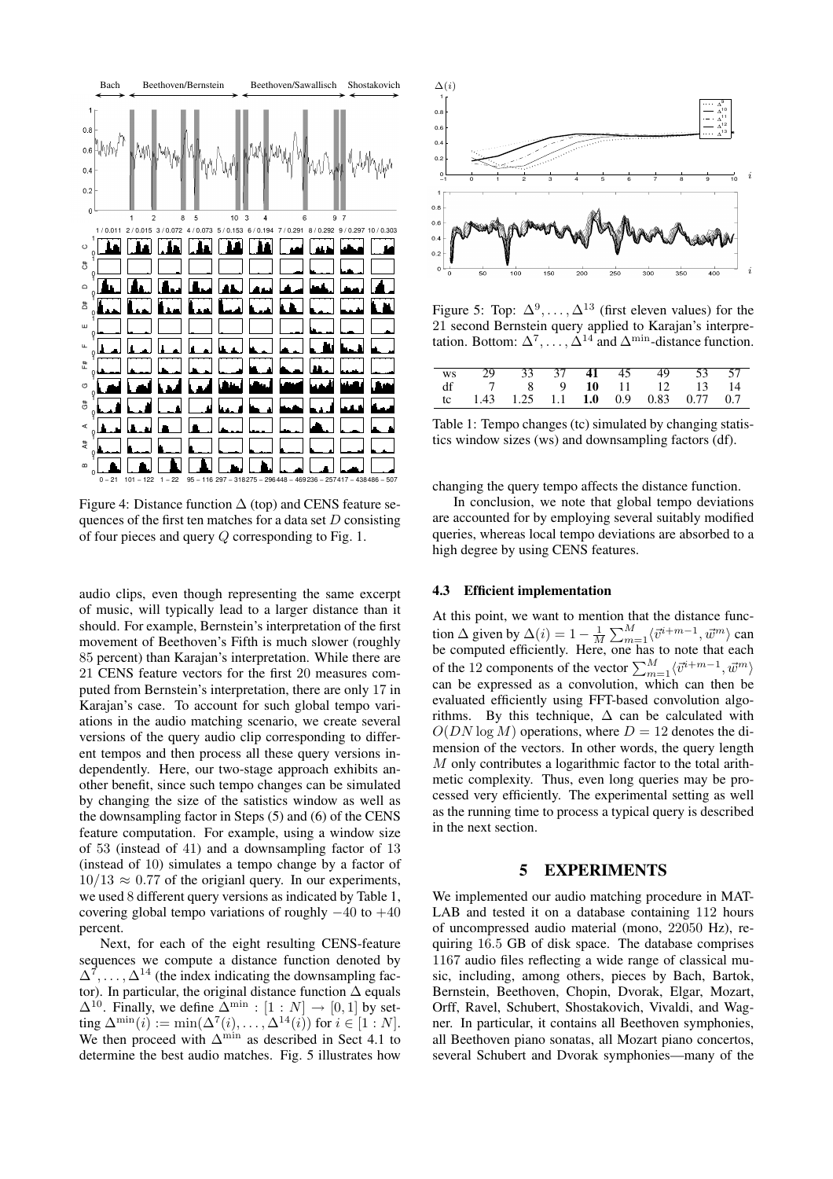

Figure 4: Distance function  $\Delta$  (top) and CENS feature sequences of the first ten matches for a data set  $D$  consisting of four pieces and query Q corresponding to Fig. 1.

audio clips, even though representing the same excerpt of music, will typically lead to a larger distance than it should. For example, Bernstein's interpretation of the first movement of Beethoven's Fifth is much slower (roughly 85 percent) than Karajan's interpretation. While there are 21 CENS feature vectors for the first 20 measures computed from Bernstein's interpretation, there are only 17 in Karajan's case. To account for such global tempo variations in the audio matching scenario, we create several versions of the query audio clip corresponding to different tempos and then process all these query versions independently. Here, our two-stage approach exhibits another benefit, since such tempo changes can be simulated by changing the size of the satistics window as well as the downsampling factor in Steps (5) and (6) of the CENS feature computation. For example, using a window size of 53 (instead of 41) and a downsampling factor of 13 (instead of 10) simulates a tempo change by a factor of  $10/13 \approx 0.77$  of the origianl query. In our experiments, we used 8 different query versions as indicated by Table 1, covering global tempo variations of roughly  $-40$  to  $+40$ percent.

Next, for each of the eight resulting CENS-feature sequences we compute a distance function denoted by  $\Delta^7, \ldots, \Delta^{14}$  (the index indicating the downsampling factor). In particular, the original distance function  $\Delta$  equals  $\Delta^{10}$ . Finally, we define  $\Delta^{\min} : [1 : N] \rightarrow [0, 1]$  by setting  $\Delta^{\min}(i) := \min(\Delta^7(i), \ldots, \Delta^{14}(i))$  for  $i \in [1:N]$ . We then proceed with  $\Delta^{\min}$  as described in Sect 4.1 to determine the best audio matches. Fig. 5 illustrates how



Figure 5: Top:  $\Delta^9, \ldots, \Delta^{13}$  (first eleven values) for the 21 second Bernstein query applied to Karajan's interpretation. Bottom:  $\Delta^7, \ldots, \Delta^{14}$  and  $\Delta^{\min}$ -distance function.

|  |  |  | ws 29 33 37 41 45 49 53 57                    |  |
|--|--|--|-----------------------------------------------|--|
|  |  |  | df $7$ 8 9 10 11 12 13 14                     |  |
|  |  |  | tc 1.43 1.25 1.1 <b>1.0</b> 0.9 0.83 0.77 0.7 |  |

Table 1: Tempo changes (tc) simulated by changing statistics window sizes (ws) and downsampling factors (df).

changing the query tempo affects the distance function.

In conclusion, we note that global tempo deviations are accounted for by employing several suitably modified queries, whereas local tempo deviations are absorbed to a high degree by using CENS features.

#### 4.3 Efficient implementation

At this point, we want to mention that the distance function  $\Delta$  given by  $\Delta(i) = 1 - \frac{1}{M} \sum_{m=1}^{M} \langle \vec{v}^{i+m-1}, \vec{w}^m \rangle$  can be computed efficiently. Here, one has to note that each of the 12 components of the vector  $\sum_{m=1}^{M} \langle \vec{v}^{i+m-1}, \vec{w}^{m} \rangle$ can be expressed as a convolution, which can then be evaluated efficiently using FFT-based convolution algorithms. By this technique,  $\Delta$  can be calculated with  $O(DN \log M)$  operations, where  $D = 12$  denotes the dimension of the vectors. In other words, the query length M only contributes a logarithmic factor to the total arithmetic complexity. Thus, even long queries may be processed very efficiently. The experimental setting as well as the running time to process a typical query is described in the next section.

### 5 EXPERIMENTS

We implemented our audio matching procedure in MAT-LAB and tested it on a database containing 112 hours of uncompressed audio material (mono, 22050 Hz), requiring 16.5 GB of disk space. The database comprises 1167 audio files reflecting a wide range of classical music, including, among others, pieces by Bach, Bartok, Bernstein, Beethoven, Chopin, Dvorak, Elgar, Mozart, Orff, Ravel, Schubert, Shostakovich, Vivaldi, and Wagner. In particular, it contains all Beethoven symphonies, all Beethoven piano sonatas, all Mozart piano concertos, several Schubert and Dvorak symphonies—many of the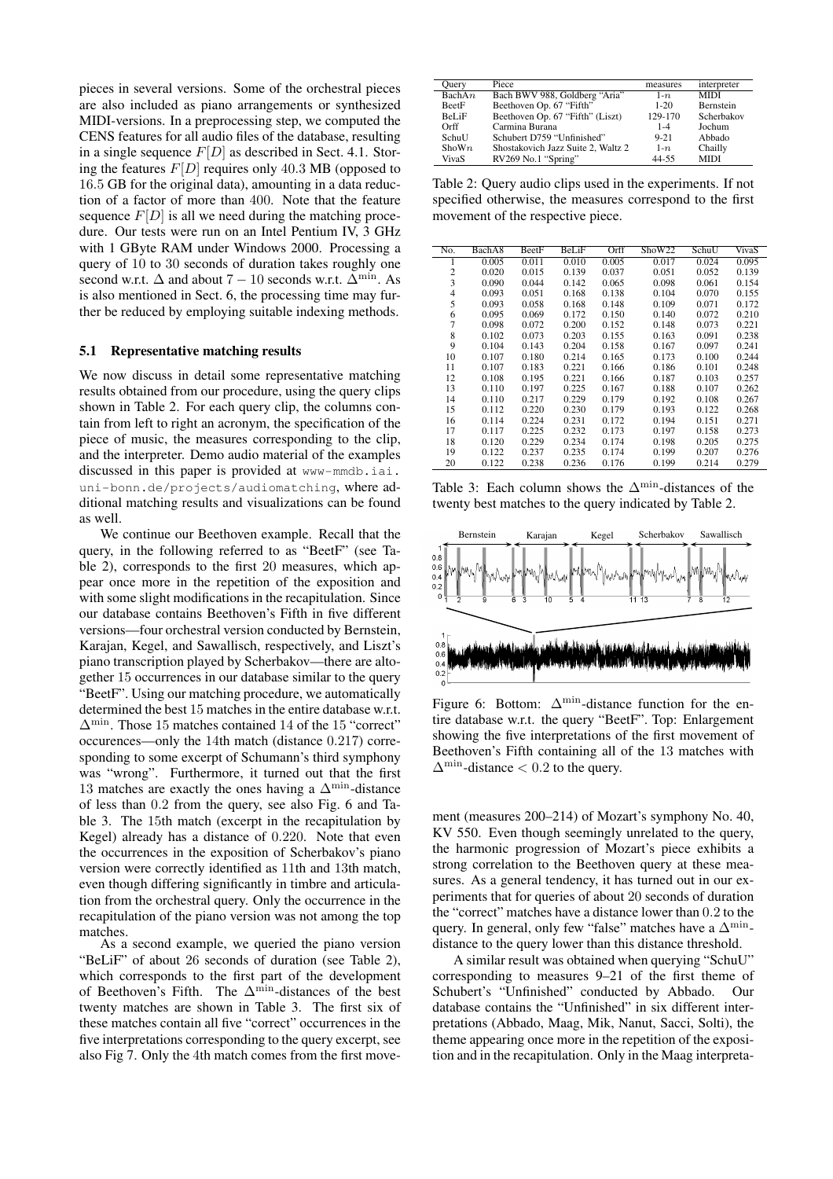pieces in several versions. Some of the orchestral pieces are also included as piano arrangements or synthesized MIDI-versions. In a preprocessing step, we computed the CENS features for all audio files of the database, resulting in a single sequence  $F[D]$  as described in Sect. 4.1. Storing the features  $F[D]$  requires only 40.3 MB (opposed to 16.5 GB for the original data), amounting in a data reduction of a factor of more than 400. Note that the feature sequence  $F[D]$  is all we need during the matching procedure. Our tests were run on an Intel Pentium IV, 3 GHz with 1 GByte RAM under Windows 2000. Processing a query of 10 to 30 seconds of duration takes roughly one second w.r.t.  $\Delta$  and about 7 – 10 seconds w.r.t.  $\Delta^{\min}$ . As is also mentioned in Sect. 6, the processing time may further be reduced by employing suitable indexing methods.

### 5.1 Representative matching results

We now discuss in detail some representative matching results obtained from our procedure, using the query clips shown in Table 2. For each query clip, the columns contain from left to right an acronym, the specification of the piece of music, the measures corresponding to the clip, and the interpreter. Demo audio material of the examples discussed in this paper is provided at www-mmdb.iai. uni-bonn.de/projects/audiomatching, where additional matching results and visualizations can be found as well.

We continue our Beethoven example. Recall that the query, in the following referred to as "BeetF" (see Table 2), corresponds to the first 20 measures, which appear once more in the repetition of the exposition and with some slight modifications in the recapitulation. Since our database contains Beethoven's Fifth in five different versions—four orchestral version conducted by Bernstein, Karajan, Kegel, and Sawallisch, respectively, and Liszt's piano transcription played by Scherbakov—there are altogether 15 occurrences in our database similar to the query "BeetF". Using our matching procedure, we automatically determined the best 15 matches in the entire database w.r.t.  $\Delta^{\min}$ . Those 15 matches contained 14 of the 15 "correct" occurences—only the 14th match (distance 0.217) corresponding to some excerpt of Schumann's third symphony was "wrong". Furthermore, it turned out that the first 13 matches are exactly the ones having a  $\Delta^{\min}$ -distance of less than 0.2 from the query, see also Fig. 6 and Table 3. The 15th match (excerpt in the recapitulation by Kegel) already has a distance of 0.220. Note that even the occurrences in the exposition of Scherbakov's piano version were correctly identified as 11th and 13th match, even though differing significantly in timbre and articulation from the orchestral query. Only the occurrence in the recapitulation of the piano version was not among the top matches.

As a second example, we queried the piano version "BeLiF" of about 26 seconds of duration (see Table 2), which corresponds to the first part of the development of Beethoven's Fifth. The  $\Delta^{\min}$ -distances of the best twenty matches are shown in Table 3. The first six of these matches contain all five "correct" occurrences in the five interpretations corresponding to the query excerpt, see also Fig 7. Only the 4th match comes from the first move-

| Query        | Piece                              | measures | interpreter |
|--------------|------------------------------------|----------|-------------|
| Bach $An$    | Bach BWV 988, Goldberg "Aria"      | $1-n$    | <b>MIDI</b> |
| BeetF        | Beethoven Op. 67 "Fifth"           | $1 - 20$ | Bernstein   |
| <b>BeLiF</b> | Beethoven Op. 67 "Fifth" (Liszt)   | 129-170  | Scherbakov  |
| Orff         | Carmina Burana                     | $1 - 4$  | Jochum      |
| SchuU        | Schubert D759 "Unfinished"         | $9 - 21$ | Abbado      |
| Shown        | Shostakovich Jazz Suite 2, Waltz 2 | $1-n$    | Chailly     |
| VivaS        | RV269 No.1 "Spring"                | 44-55    | <b>MIDI</b> |

Table 2: Query audio clips used in the experiments. If not specified otherwise, the measures correspond to the first movement of the respective piece.

| No.            | BachA8 | BeetF | BeLiF | Orff  | ShoW22 | SchuU | VivaS |
|----------------|--------|-------|-------|-------|--------|-------|-------|
|                | 0.005  | 0.011 | 0.010 | 0.005 | 0.017  | 0.024 | 0.095 |
| 2              | 0.020  | 0.015 | 0.139 | 0.037 | 0.051  | 0.052 | 0.139 |
| 3              | 0.090  | 0.044 | 0.142 | 0.065 | 0.098  | 0.061 | 0.154 |
| $\overline{4}$ | 0.093  | 0.051 | 0.168 | 0.138 | 0.104  | 0.070 | 0.155 |
| 5              | 0.093  | 0.058 | 0.168 | 0.148 | 0.109  | 0.071 | 0.172 |
| 6              | 0.095  | 0.069 | 0.172 | 0.150 | 0.140  | 0.072 | 0.210 |
| 7              | 0.098  | 0.072 | 0.200 | 0.152 | 0.148  | 0.073 | 0.221 |
| 8              | 0.102  | 0.073 | 0.203 | 0.155 | 0.163  | 0.091 | 0.238 |
| 9              | 0.104  | 0.143 | 0.204 | 0.158 | 0.167  | 0.097 | 0.241 |
| 10             | 0.107  | 0.180 | 0.214 | 0.165 | 0.173  | 0.100 | 0.244 |
| 11             | 0.107  | 0.183 | 0.221 | 0.166 | 0.186  | 0.101 | 0.248 |
| 12             | 0.108  | 0.195 | 0.221 | 0.166 | 0.187  | 0.103 | 0.257 |
| 13             | 0.110  | 0.197 | 0.225 | 0.167 | 0.188  | 0.107 | 0.262 |
| 14             | 0.110  | 0.217 | 0.229 | 0.179 | 0.192  | 0.108 | 0.267 |
| 15             | 0.112  | 0.220 | 0.230 | 0.179 | 0.193  | 0.122 | 0.268 |
| 16             | 0.114  | 0.224 | 0.231 | 0.172 | 0.194  | 0.151 | 0.271 |
| 17             | 0.117  | 0.225 | 0.232 | 0.173 | 0.197  | 0.158 | 0.273 |
| 18             | 0.120  | 0.229 | 0.234 | 0.174 | 0.198  | 0.205 | 0.275 |
| 19             | 0.122  | 0.237 | 0.235 | 0.174 | 0.199  | 0.207 | 0.276 |
| 20             | 0.122  | 0.238 | 0.236 | 0.176 | 0.199  | 0.214 | 0.279 |

Table 3: Each column shows the  $\Delta^{\min}$ -distances of the twenty best matches to the query indicated by Table 2.



Figure 6: Bottom:  $\Delta^{\min}$ -distance function for the entire database w.r.t. the query "BeetF". Top: Enlargement showing the five interpretations of the first movement of Beethoven's Fifth containing all of the 13 matches with  $\Delta^{\min}$ -distance < 0.2 to the query.

ment (measures 200–214) of Mozart's symphony No. 40, KV 550. Even though seemingly unrelated to the query, the harmonic progression of Mozart's piece exhibits a strong correlation to the Beethoven query at these measures. As a general tendency, it has turned out in our experiments that for queries of about 20 seconds of duration the "correct" matches have a distance lower than 0.2 to the query. In general, only few "false" matches have a  $\Delta^{\min}$ distance to the query lower than this distance threshold.

A similar result was obtained when querying "SchuU" corresponding to measures 9–21 of the first theme of Schubert's "Unfinished" conducted by Abbado. Our database contains the "Unfinished" in six different interpretations (Abbado, Maag, Mik, Nanut, Sacci, Solti), the theme appearing once more in the repetition of the exposition and in the recapitulation. Only in the Maag interpreta-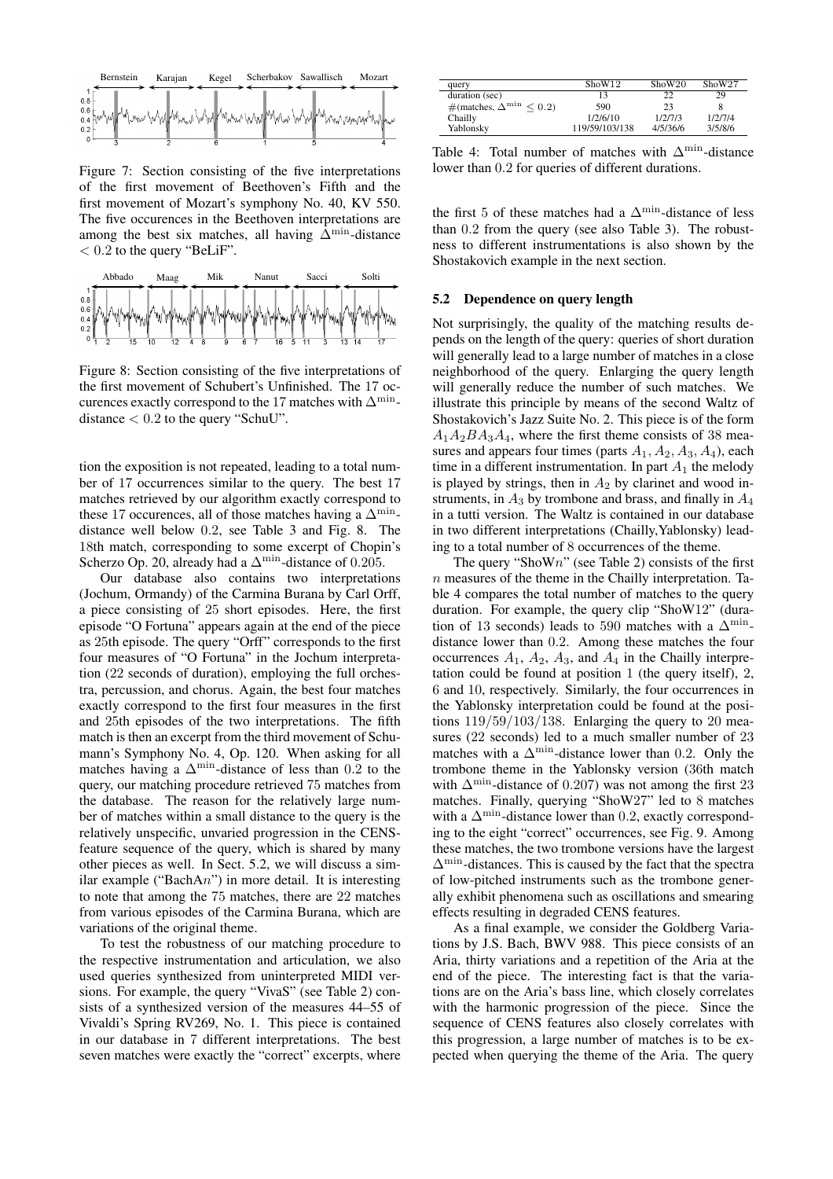

Figure 7: Section consisting of the five interpretations of the first movement of Beethoven's Fifth and the first movement of Mozart's symphony No. 40, KV 550. The five occurences in the Beethoven interpretations are among the best six matches, all having  $\Delta^{\min}$ -distance  $< 0.2$  to the query "BeLiF".



Figure 8: Section consisting of the five interpretations of the first movement of Schubert's Unfinished. The 17 occurences exactly correspond to the 17 matches with  $\Delta^{\min}$ distance  $< 0.2$  to the query "SchuU".

tion the exposition is not repeated, leading to a total number of 17 occurrences similar to the query. The best 17 matches retrieved by our algorithm exactly correspond to these 17 occurences, all of those matches having a  $\Delta^{\min}$ distance well below 0.2, see Table 3 and Fig. 8. The 18th match, corresponding to some excerpt of Chopin's Scherzo Op. 20, already had a  $\Delta^{\min}$ -distance of 0.205.

Our database also contains two interpretations (Jochum, Ormandy) of the Carmina Burana by Carl Orff, a piece consisting of 25 short episodes. Here, the first episode "O Fortuna" appears again at the end of the piece as 25th episode. The query "Orff" corresponds to the first four measures of "O Fortuna" in the Jochum interpretation (22 seconds of duration), employing the full orchestra, percussion, and chorus. Again, the best four matches exactly correspond to the first four measures in the first and 25th episodes of the two interpretations. The fifth match is then an excerpt from the third movement of Schumann's Symphony No. 4, Op. 120. When asking for all matches having a  $\Delta^{\min}$ -distance of less than 0.2 to the query, our matching procedure retrieved 75 matches from the database. The reason for the relatively large number of matches within a small distance to the query is the relatively unspecific, unvaried progression in the CENSfeature sequence of the query, which is shared by many other pieces as well. In Sect. 5.2, we will discuss a similar example ("Bach $An$ ") in more detail. It is interesting to note that among the 75 matches, there are 22 matches from various episodes of the Carmina Burana, which are variations of the original theme.

To test the robustness of our matching procedure to the respective instrumentation and articulation, we also used queries synthesized from uninterpreted MIDI versions. For example, the query "VivaS" (see Table 2) consists of a synthesized version of the measures 44–55 of Vivaldi's Spring RV269, No. 1. This piece is contained in our database in 7 different interpretations. The best seven matches were exactly the "correct" excerpts, where

| query                                 | Show12         | ShoW20   | ShoW27  |
|---------------------------------------|----------------|----------|---------|
| duration (sec)                        | 13             | າາ       | 29      |
| # (matches, $\Delta^{\min}$<br>< 0.21 | 590            | 23       |         |
| Chailly                               | 1/2/6/10       | 1/2/7/3  | 1/2/7/4 |
| Yablonsky                             | 119/59/103/138 | 4/5/36/6 | 3/5/8/6 |

Table 4: Total number of matches with  $\Delta^{\min}$ -distance lower than 0.2 for queries of different durations.

the first 5 of these matches had a  $\Delta^{\min}$ -distance of less than 0.2 from the query (see also Table 3). The robustness to different instrumentations is also shown by the Shostakovich example in the next section.

### 5.2 Dependence on query length

Not surprisingly, the quality of the matching results depends on the length of the query: queries of short duration will generally lead to a large number of matches in a close neighborhood of the query. Enlarging the query length will generally reduce the number of such matches. We illustrate this principle by means of the second Waltz of Shostakovich's Jazz Suite No. 2. This piece is of the form  $A_1A_2BA_3A_4$ , where the first theme consists of 38 measures and appears four times (parts  $A_1$ ,  $A_2$ ,  $A_3$ ,  $A_4$ ), each time in a different instrumentation. In part  $A_1$  the melody is played by strings, then in  $A_2$  by clarinet and wood instruments, in  $A_3$  by trombone and brass, and finally in  $A_4$ in a tutti version. The Waltz is contained in our database in two different interpretations (Chailly,Yablonsky) leading to a total number of 8 occurrences of the theme.

The query "ShoWn" (see Table 2) consists of the first  $n$  measures of the theme in the Chailly interpretation. Table 4 compares the total number of matches to the query duration. For example, the query clip "ShoW12" (duration of 13 seconds) leads to 590 matches with a  $\Delta^{\min}$ distance lower than 0.2. Among these matches the four occurrences  $A_1$ ,  $A_2$ ,  $A_3$ , and  $A_4$  in the Chailly interpretation could be found at position 1 (the query itself), 2, 6 and 10, respectively. Similarly, the four occurrences in the Yablonsky interpretation could be found at the positions  $119/59/103/138$ . Enlarging the query to 20 measures (22 seconds) led to a much smaller number of 23 matches with a  $\Delta^{\min}$ -distance lower than 0.2. Only the trombone theme in the Yablonsky version (36th match with  $\Delta^{\min}$ -distance of 0.207) was not among the first 23 matches. Finally, querying "ShoW27" led to 8 matches with a  $\Delta^{\min}$ -distance lower than 0.2, exactly corresponding to the eight "correct" occurrences, see Fig. 9. Among these matches, the two trombone versions have the largest  $\Delta^{\min}$ -distances. This is caused by the fact that the spectra of low-pitched instruments such as the trombone generally exhibit phenomena such as oscillations and smearing effects resulting in degraded CENS features.

As a final example, we consider the Goldberg Variations by J.S. Bach, BWV 988. This piece consists of an Aria, thirty variations and a repetition of the Aria at the end of the piece. The interesting fact is that the variations are on the Aria's bass line, which closely correlates with the harmonic progression of the piece. Since the sequence of CENS features also closely correlates with this progression, a large number of matches is to be expected when querying the theme of the Aria. The query